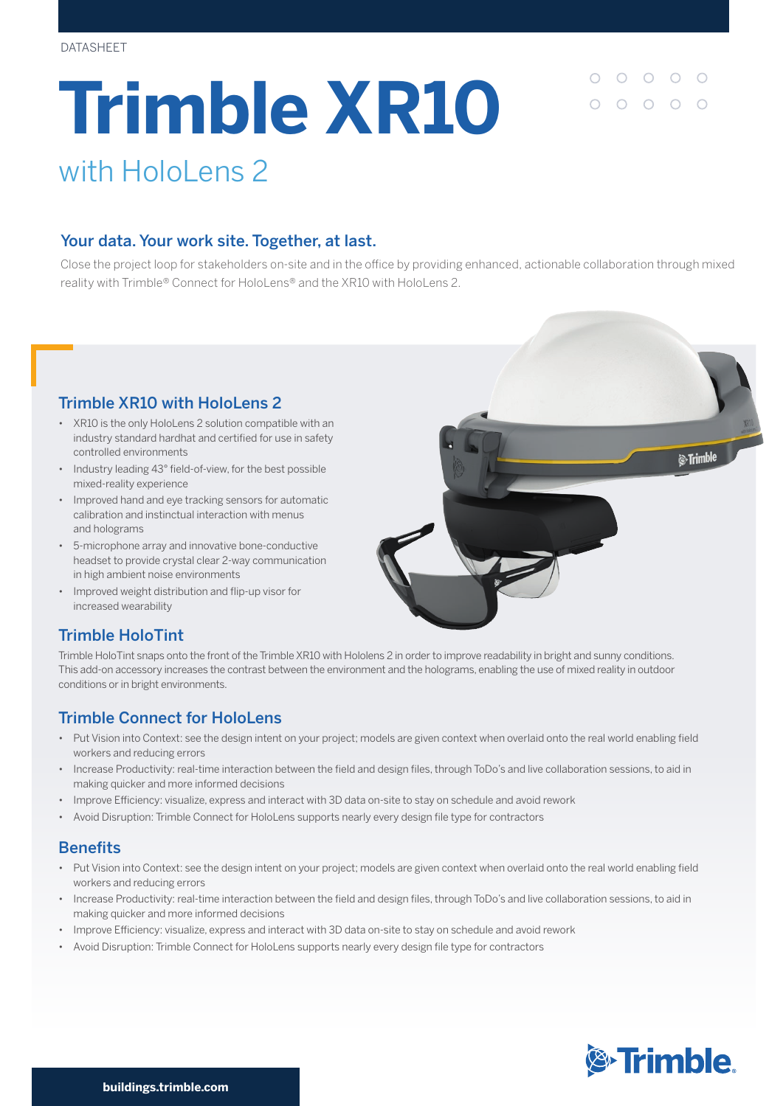# **Trimble XR10** with HoloLens 2

 $\begin{array}{cccccccccccccc} \circ & \circ & \circ & \circ & \circ \end{array}$  $000000$ 

## Your data. Your work site. Together, at last.

Close the project loop for stakeholders on-site and in the office by providing enhanced, actionable collaboration through mixed reality with Trimble® Connect for HoloLens® and the XR10 with HoloLens 2.

## Trimble XR10 with HoloLens 2

- XR10 is the only HoloLens 2 solution compatible with an industry standard hardhat and certified for use in safety controlled environments
- Industry leading 43° field-of-view, for the best possible mixed-reality experience
- Improved hand and eye tracking sensors for automatic calibration and instinctual interaction with menus and holograms
- 5-microphone array and innovative bone-conductive headset to provide crystal clear 2-way communication in high ambient noise environments
- Improved weight distribution and flip-up visor for increased wearability



## Trimble HoloTint

Trimble HoloTint snaps onto the front of the Trimble XR10 with Hololens 2 in order to improve readability in bright and sunny conditions. This add-on accessory increases the contrast between the environment and the holograms, enabling the use of mixed reality in outdoor conditions or in bright environments.

## Trimble Connect for HoloLens

- Put Vision into Context: see the design intent on your project; models are given context when overlaid onto the real world enabling field workers and reducing errors
- Increase Productivity: real-time interaction between the field and design files, through ToDo's and live collaboration sessions, to aid in making quicker and more informed decisions
- Improve Efficiency: visualize, express and interact with 3D data on-site to stay on schedule and avoid rework
- Avoid Disruption: Trimble Connect for HoloLens supports nearly every design file type for contractors

#### Benefits

- Put Vision into Context: see the design intent on your project; models are given context when overlaid onto the real world enabling field workers and reducing errors
- Increase Productivity: real-time interaction between the field and design files, through ToDo's and live collaboration sessions, to aid in making quicker and more informed decisions
- Improve Efficiency: visualize, express and interact with 3D data on-site to stay on schedule and avoid rework
- Avoid Disruption: Trimble Connect for HoloLens supports nearly every design file type for contractors